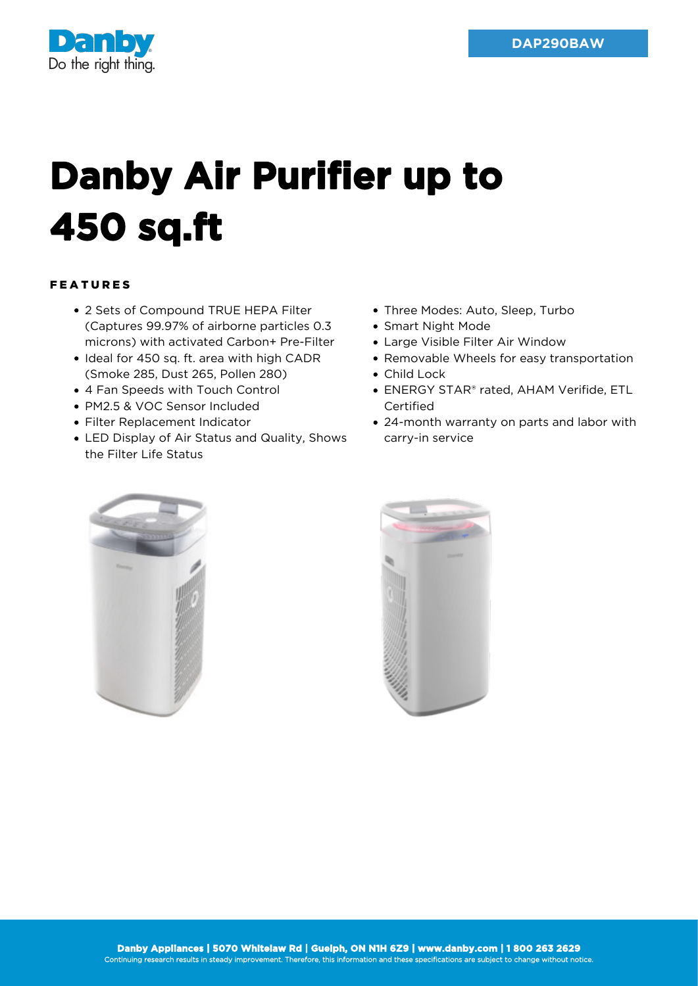

## **Danby Air Purifier up to 450 sq.ft**

## FEATURES

- 2 Sets of Compound TRUE HEPA Filter (Captures 99.97% of airborne particles 0.3 microns) with activated Carbon+ Pre-Filter
- Ideal for 450 sq. ft. area with high CADR (Smoke 285, Dust 265, Pollen 280)
- 4 Fan Speeds with Touch Control
- PM2.5 & VOC Sensor Included
- Filter Replacement Indicator
- LED Display of Air Status and Quality, Shows the Filter Life Status
- Three Modes: Auto, Sleep, Turbo
- Smart Night Mode
- Large Visible Filter Air Window
- Removable Wheels for easy transportation
- Child Lock
- ENERGY STAR® rated, AHAM Verifide, ETL Certified
- 24-month warranty on parts and labor with carry-in service